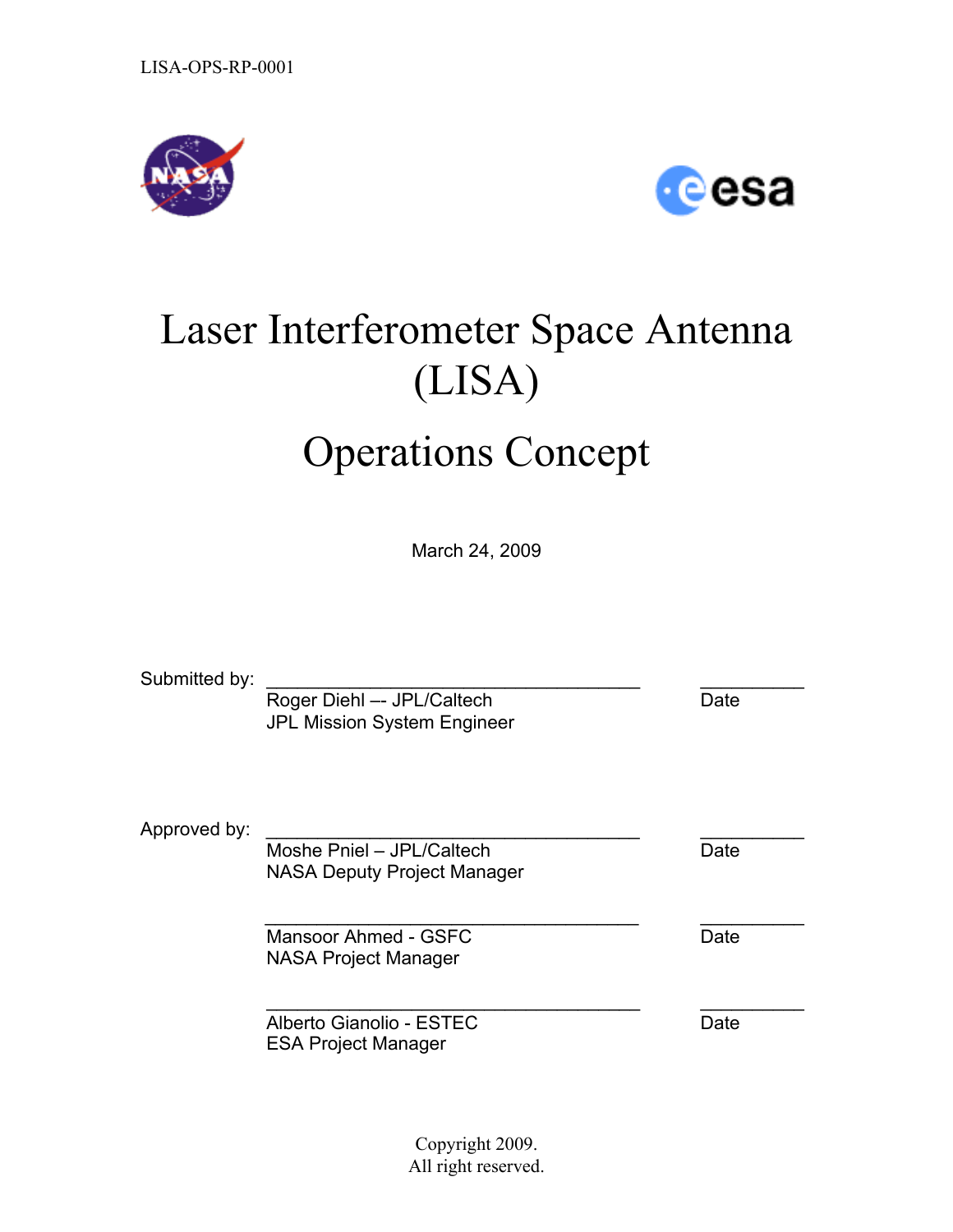



# Laser Interferometer Space Antenna (LISA)

# Operations Concept

March 24, 2009

Submitted by: Roger Diehl -- JPL/Caltech Date JPL Mission System Engineer Approved by: Moshe Pniel – JPL/Caltech Date NASA Deputy Project Manager  $\mathcal{L}_\text{max} = \mathcal{L}_\text{max} = \mathcal{L}_\text{max} = \mathcal{L}_\text{max} = \mathcal{L}_\text{max} = \mathcal{L}_\text{max} = \mathcal{L}_\text{max} = \mathcal{L}_\text{max} = \mathcal{L}_\text{max} = \mathcal{L}_\text{max} = \mathcal{L}_\text{max} = \mathcal{L}_\text{max} = \mathcal{L}_\text{max} = \mathcal{L}_\text{max} = \mathcal{L}_\text{max} = \mathcal{L}_\text{max} = \mathcal{L}_\text{max} = \mathcal{L}_\text{max} = \mathcal{$ Mansoor Ahmed - GSFC Date Date NASA Project Manager \_\_\_\_\_\_\_\_\_\_\_\_\_\_\_\_\_\_\_\_\_\_\_\_\_\_\_\_\_\_\_\_\_\_\_\_ \_\_\_\_\_\_\_\_\_\_ Alberto Gianolio - ESTEC Date ESA Project Manager

> Copyright 2009. All right reserved.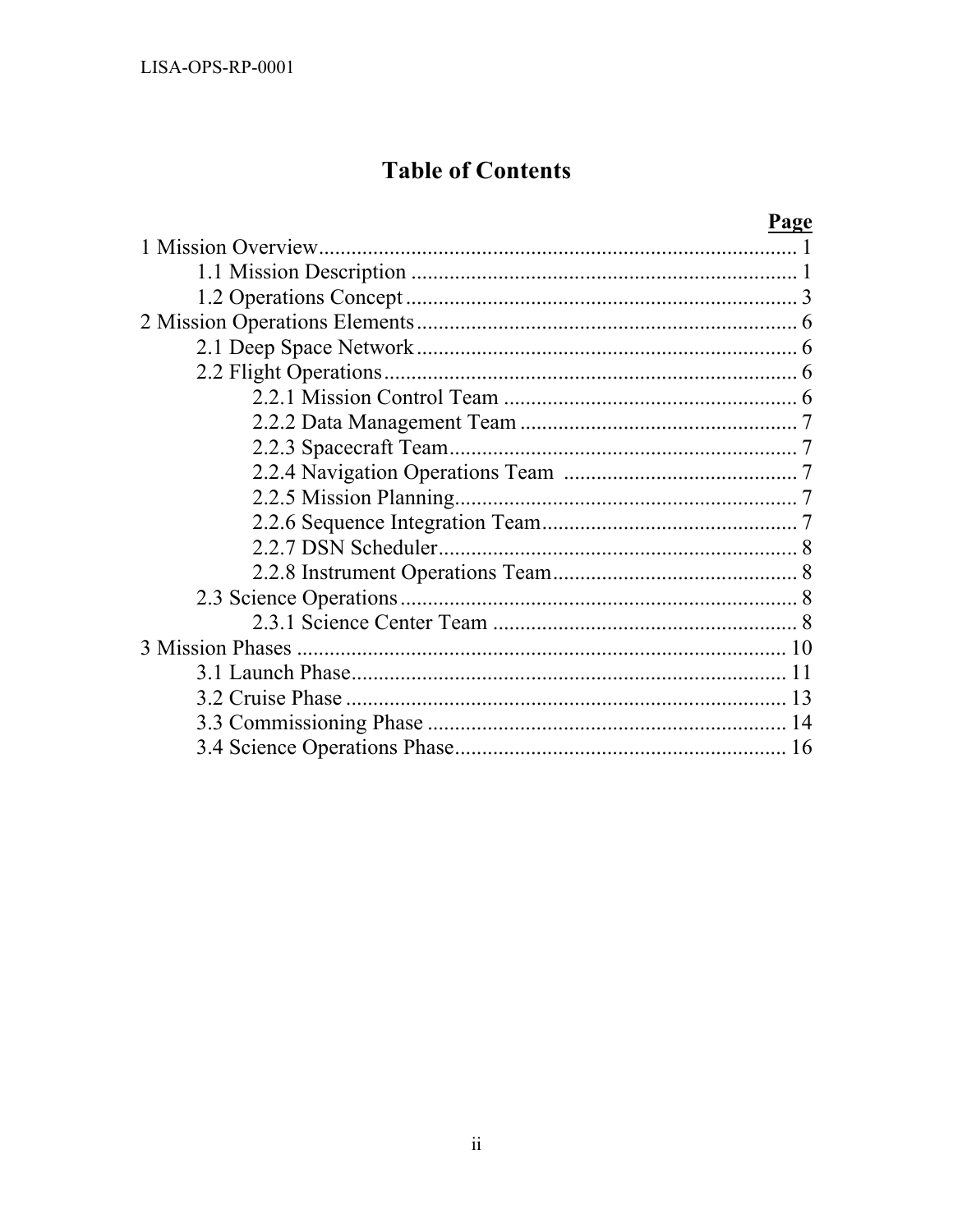# **Table of Contents**

| Page |
|------|
|      |
|      |
|      |
|      |
|      |
|      |
|      |
|      |
|      |
|      |
|      |
|      |
|      |
|      |
|      |
|      |
|      |
|      |
| 13   |
|      |
| 16   |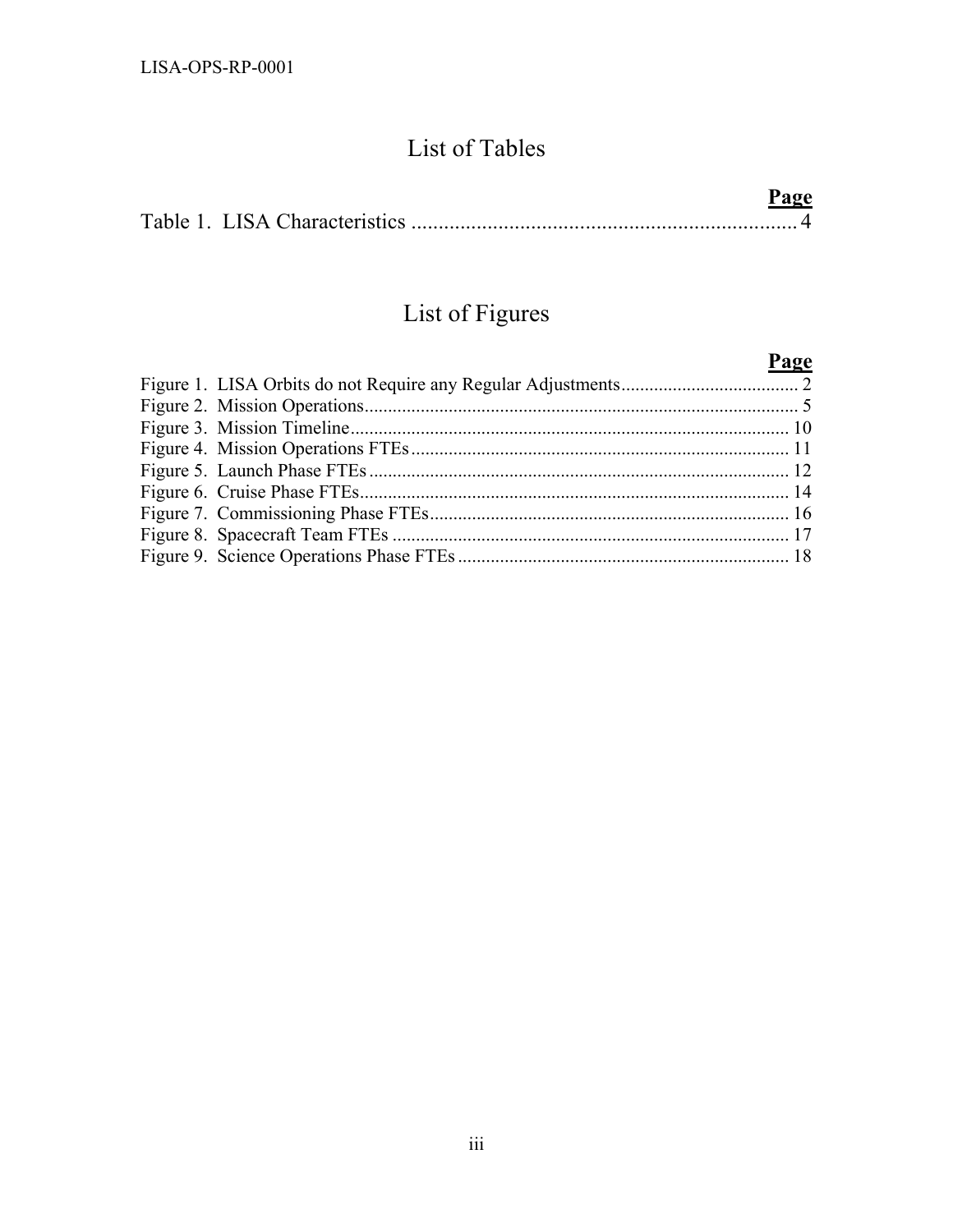# List of Tables

|  | Page |  |
|--|------|--|
|  |      |  |

# List of Figures

|  | Page |
|--|------|
|  |      |
|  |      |
|  |      |
|  |      |
|  |      |
|  |      |
|  |      |
|  |      |
|  |      |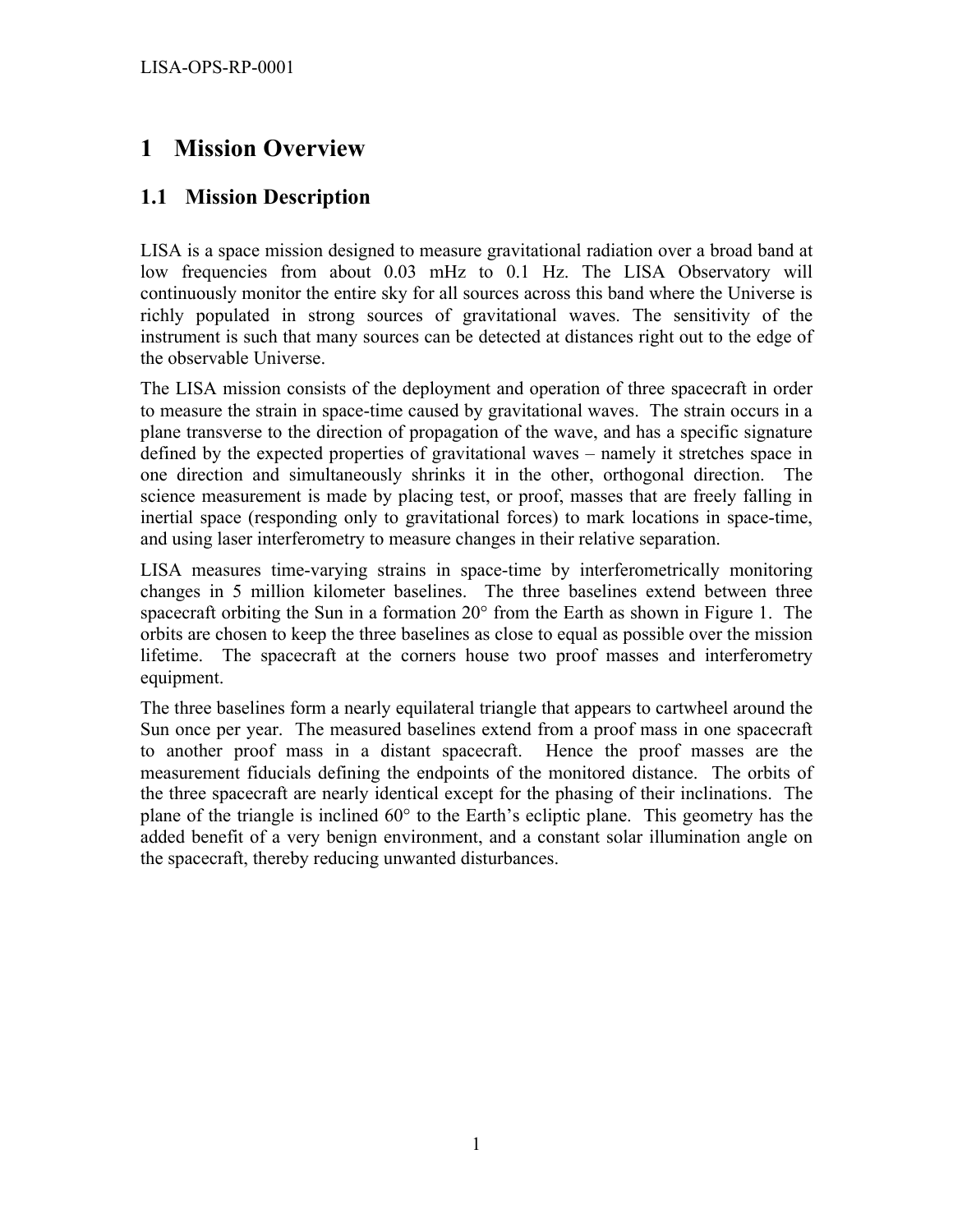## **1 Mission Overview**

#### **1.1 Mission Description**

LISA is a space mission designed to measure gravitational radiation over a broad band at low frequencies from about 0.03 mHz to 0.1 Hz. The LISA Observatory will continuously monitor the entire sky for all sources across this band where the Universe is richly populated in strong sources of gravitational waves. The sensitivity of the instrument is such that many sources can be detected at distances right out to the edge of the observable Universe.

The LISA mission consists of the deployment and operation of three spacecraft in order to measure the strain in space-time caused by gravitational waves. The strain occurs in a plane transverse to the direction of propagation of the wave, and has a specific signature defined by the expected properties of gravitational waves – namely it stretches space in one direction and simultaneously shrinks it in the other, orthogonal direction. The science measurement is made by placing test, or proof, masses that are freely falling in inertial space (responding only to gravitational forces) to mark locations in space-time, and using laser interferometry to measure changes in their relative separation.

LISA measures time-varying strains in space-time by interferometrically monitoring changes in 5 million kilometer baselines. The three baselines extend between three spacecraft orbiting the Sun in a formation 20° from the Earth as shown in Figure 1. The orbits are chosen to keep the three baselines as close to equal as possible over the mission lifetime. The spacecraft at the corners house two proof masses and interferometry equipment.

The three baselines form a nearly equilateral triangle that appears to cartwheel around the Sun once per year. The measured baselines extend from a proof mass in one spacecraft to another proof mass in a distant spacecraft. Hence the proof masses are the measurement fiducials defining the endpoints of the monitored distance. The orbits of the three spacecraft are nearly identical except for the phasing of their inclinations. The plane of the triangle is inclined 60° to the Earth's ecliptic plane. This geometry has the added benefit of a very benign environment, and a constant solar illumination angle on the spacecraft, thereby reducing unwanted disturbances.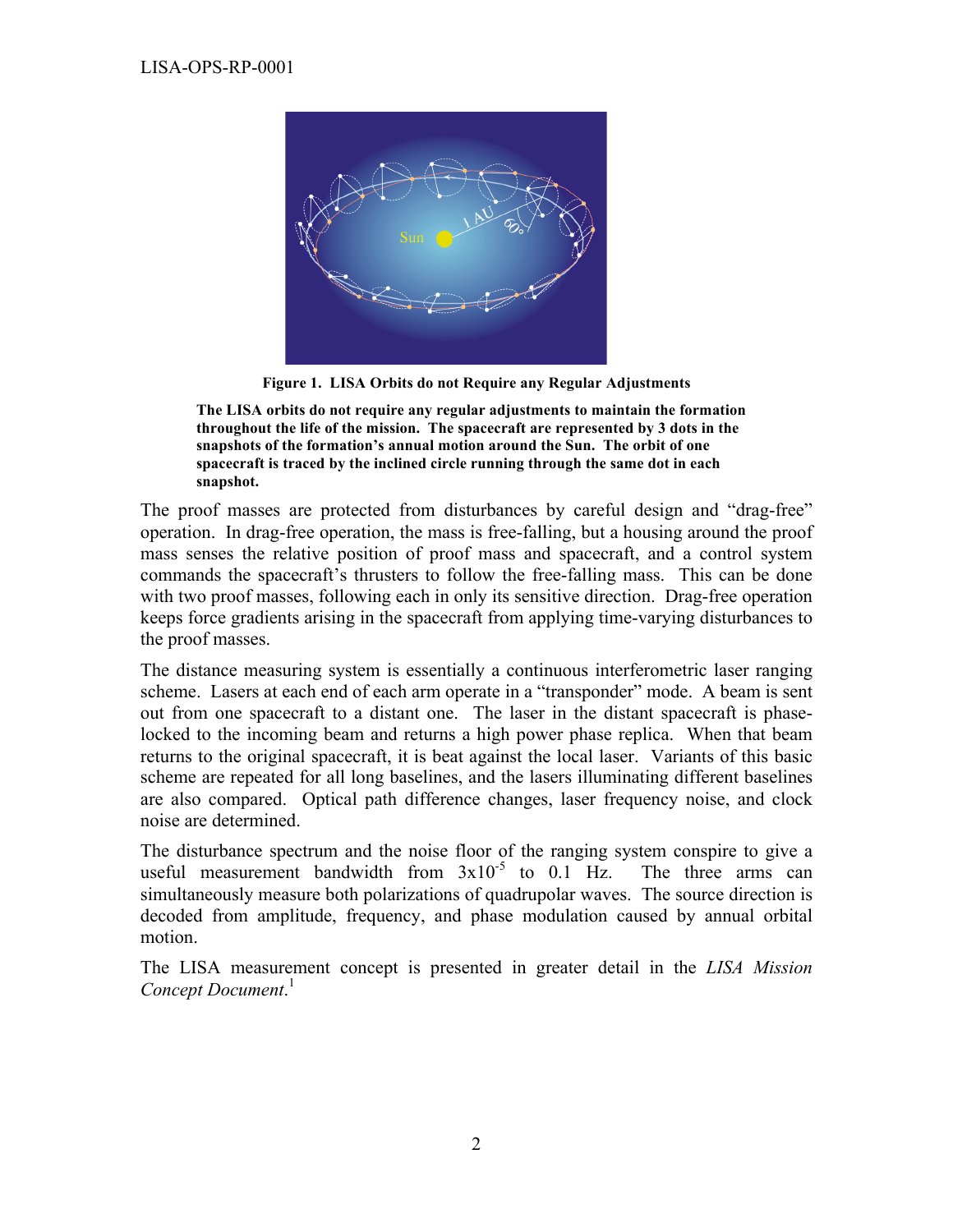

**Figure 1. LISA Orbits do not Require any Regular Adjustments**

**The LISA orbits do not require any regular adjustments to maintain the formation throughout the life of the mission. The spacecraft are represented by 3 dots in the snapshots of the formation's annual motion around the Sun. The orbit of one spacecraft is traced by the inclined circle running through the same dot in each snapshot.**

The proof masses are protected from disturbances by careful design and "drag-free" operation. In drag-free operation, the mass is free-falling, but a housing around the proof mass senses the relative position of proof mass and spacecraft, and a control system commands the spacecraft's thrusters to follow the free-falling mass. This can be done with two proof masses, following each in only its sensitive direction. Drag-free operation keeps force gradients arising in the spacecraft from applying time-varying disturbances to the proof masses.

The distance measuring system is essentially a continuous interferometric laser ranging scheme. Lasers at each end of each arm operate in a "transponder" mode. A beam is sent out from one spacecraft to a distant one. The laser in the distant spacecraft is phaselocked to the incoming beam and returns a high power phase replica. When that beam returns to the original spacecraft, it is beat against the local laser. Variants of this basic scheme are repeated for all long baselines, and the lasers illuminating different baselines are also compared. Optical path difference changes, laser frequency noise, and clock noise are determined.

The disturbance spectrum and the noise floor of the ranging system conspire to give a useful measurement bandwidth from  $3x10^{-5}$  to 0.1 Hz. The three arms can simultaneously measure both polarizations of quadrupolar waves. The source direction is decoded from amplitude, frequency, and phase modulation caused by annual orbital motion.

The LISA measurement concept is presented in greater detail in the *LISA Mission Concept Document*. 1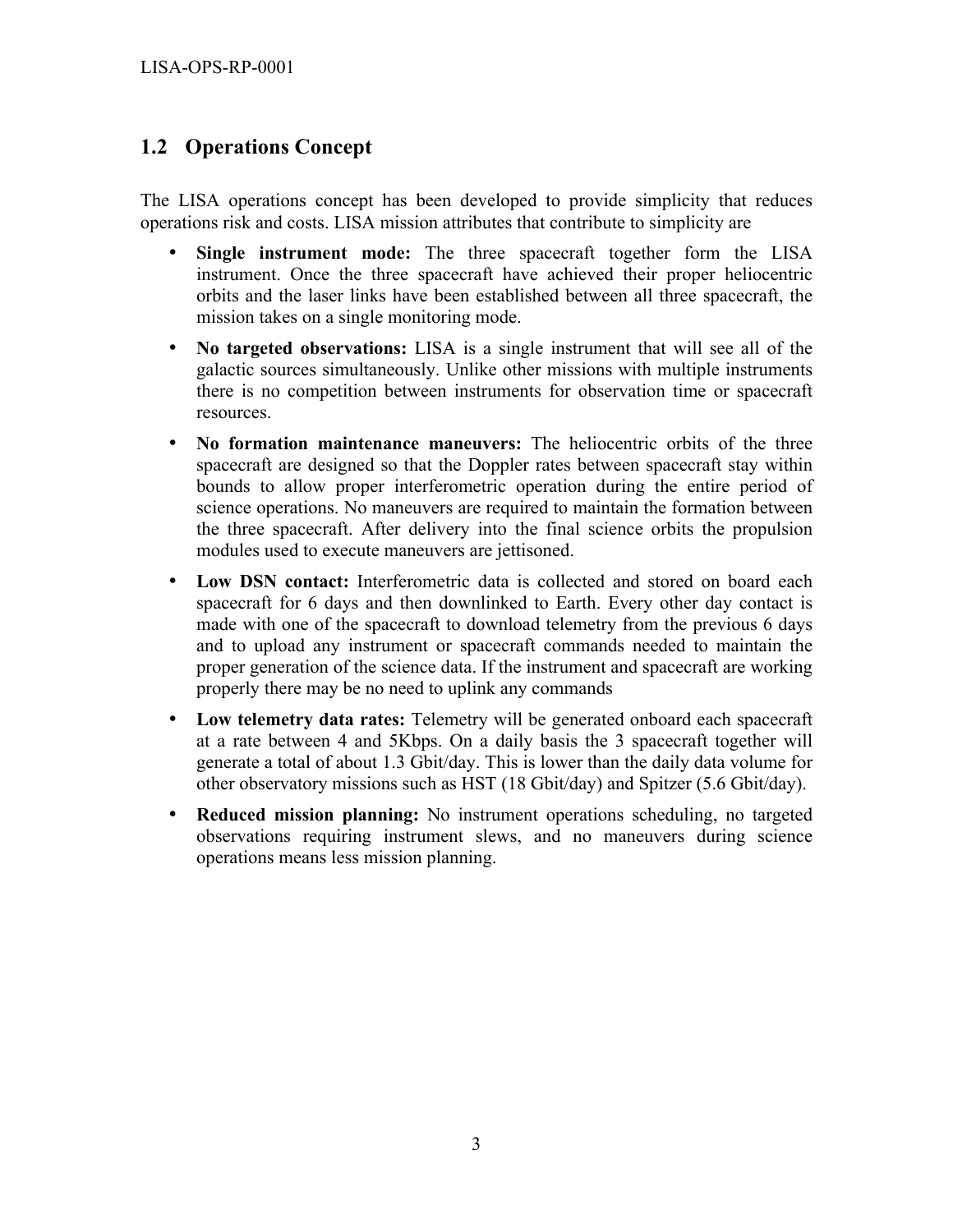#### **1.2 Operations Concept**

The LISA operations concept has been developed to provide simplicity that reduces operations risk and costs. LISA mission attributes that contribute to simplicity are

- **Single instrument mode:** The three spacecraft together form the LISA instrument. Once the three spacecraft have achieved their proper heliocentric orbits and the laser links have been established between all three spacecraft, the mission takes on a single monitoring mode.
- **No targeted observations:** LISA is a single instrument that will see all of the galactic sources simultaneously. Unlike other missions with multiple instruments there is no competition between instruments for observation time or spacecraft resources.
- **No formation maintenance maneuvers:** The heliocentric orbits of the three spacecraft are designed so that the Doppler rates between spacecraft stay within bounds to allow proper interferometric operation during the entire period of science operations. No maneuvers are required to maintain the formation between the three spacecraft. After delivery into the final science orbits the propulsion modules used to execute maneuvers are jettisoned.
- **Low DSN contact:** Interferometric data is collected and stored on board each spacecraft for 6 days and then downlinked to Earth. Every other day contact is made with one of the spacecraft to download telemetry from the previous 6 days and to upload any instrument or spacecraft commands needed to maintain the proper generation of the science data. If the instrument and spacecraft are working properly there may be no need to uplink any commands
- **Low telemetry data rates:** Telemetry will be generated onboard each spacecraft at a rate between 4 and 5Kbps. On a daily basis the 3 spacecraft together will generate a total of about 1.3 Gbit/day. This is lower than the daily data volume for other observatory missions such as HST (18 Gbit/day) and Spitzer (5.6 Gbit/day).
- **Reduced mission planning:** No instrument operations scheduling, no targeted observations requiring instrument slews, and no maneuvers during science operations means less mission planning.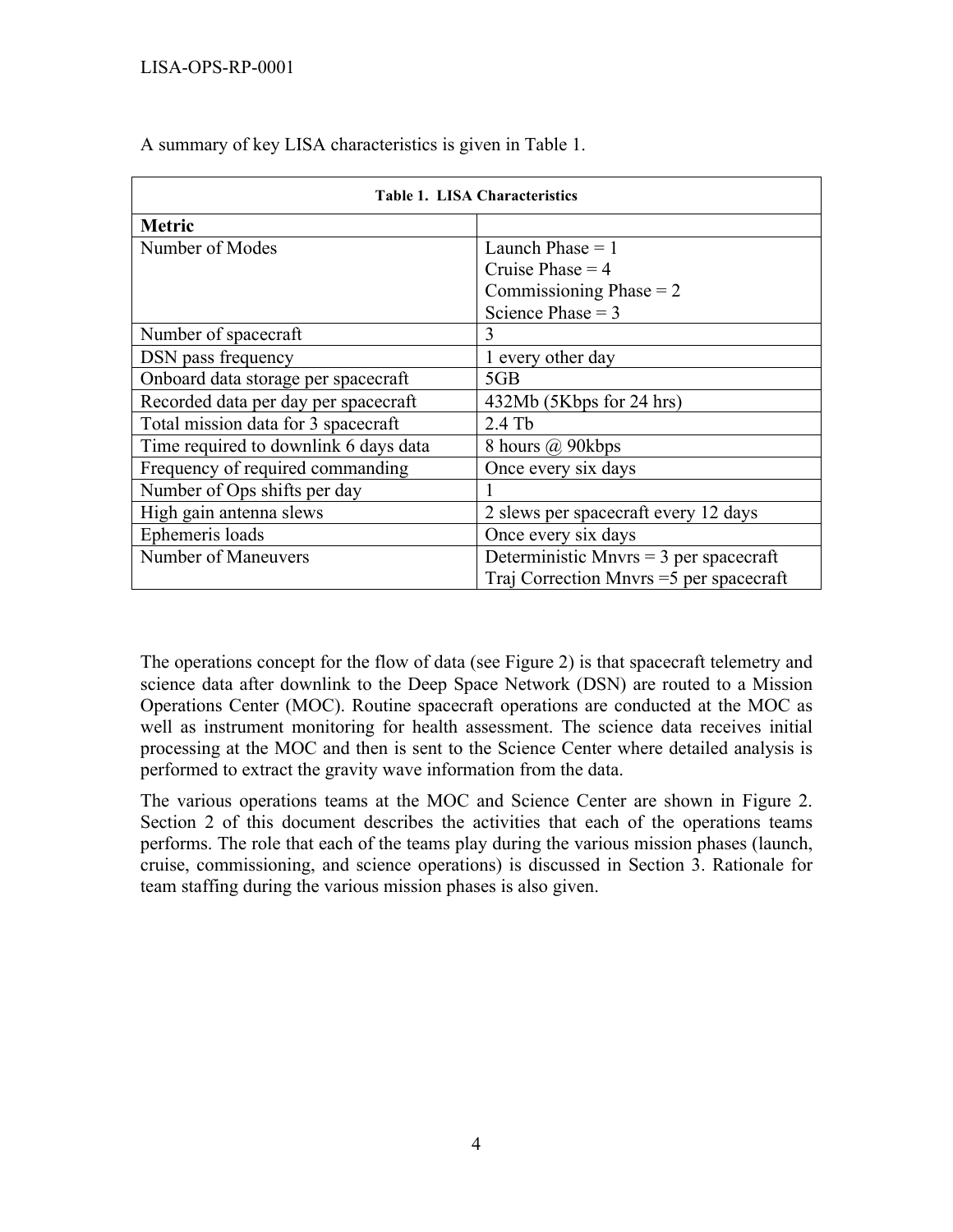| <b>Table 1. LISA Characteristics</b>  |                                          |  |  |  |
|---------------------------------------|------------------------------------------|--|--|--|
| <b>Metric</b>                         |                                          |  |  |  |
| Number of Modes                       | Launch Phase $= 1$                       |  |  |  |
|                                       | Cruise Phase $=$ 4                       |  |  |  |
|                                       | Commissioning Phase $= 2$                |  |  |  |
|                                       | Science Phase = $3$                      |  |  |  |
| Number of spacecraft                  | 3                                        |  |  |  |
| DSN pass frequency                    | 1 every other day                        |  |  |  |
| Onboard data storage per spacecraft   | 5GB                                      |  |  |  |
| Recorded data per day per spacecraft  | 432Mb (5Kbps for 24 hrs)                 |  |  |  |
| Total mission data for 3 spacecraft   | $2.4$ Tb                                 |  |  |  |
| Time required to downlink 6 days data | 8 hours @ 90kbps                         |  |  |  |
| Frequency of required commanding      | Once every six days                      |  |  |  |
| Number of Ops shifts per day          |                                          |  |  |  |
| High gain antenna slews               | 2 slews per spacecraft every 12 days     |  |  |  |
| Ephemeris loads                       | Once every six days                      |  |  |  |
| Number of Maneuvers                   | Deterministic Mnvrs = $3$ per spacecraft |  |  |  |
|                                       | Traj Correction Mnvrs = 5 per spacecraft |  |  |  |

A summary of key LISA characteristics is given in Table 1.

The operations concept for the flow of data (see Figure 2) is that spacecraft telemetry and science data after downlink to the Deep Space Network (DSN) are routed to a Mission Operations Center (MOC). Routine spacecraft operations are conducted at the MOC as well as instrument monitoring for health assessment. The science data receives initial processing at the MOC and then is sent to the Science Center where detailed analysis is performed to extract the gravity wave information from the data.

The various operations teams at the MOC and Science Center are shown in Figure 2. Section 2 of this document describes the activities that each of the operations teams performs. The role that each of the teams play during the various mission phases (launch, cruise, commissioning, and science operations) is discussed in Section 3. Rationale for team staffing during the various mission phases is also given.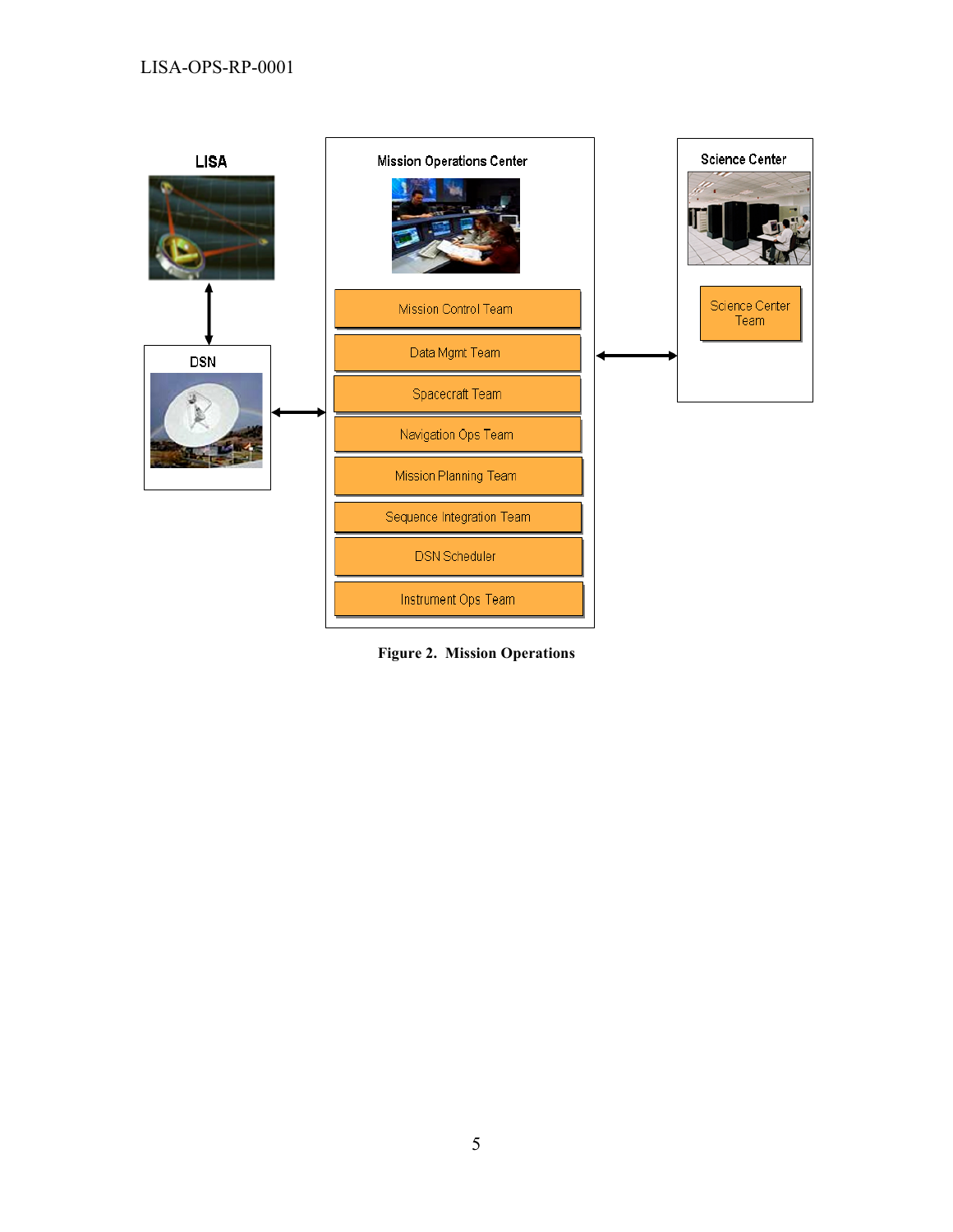

**Figure 2. Mission Operations**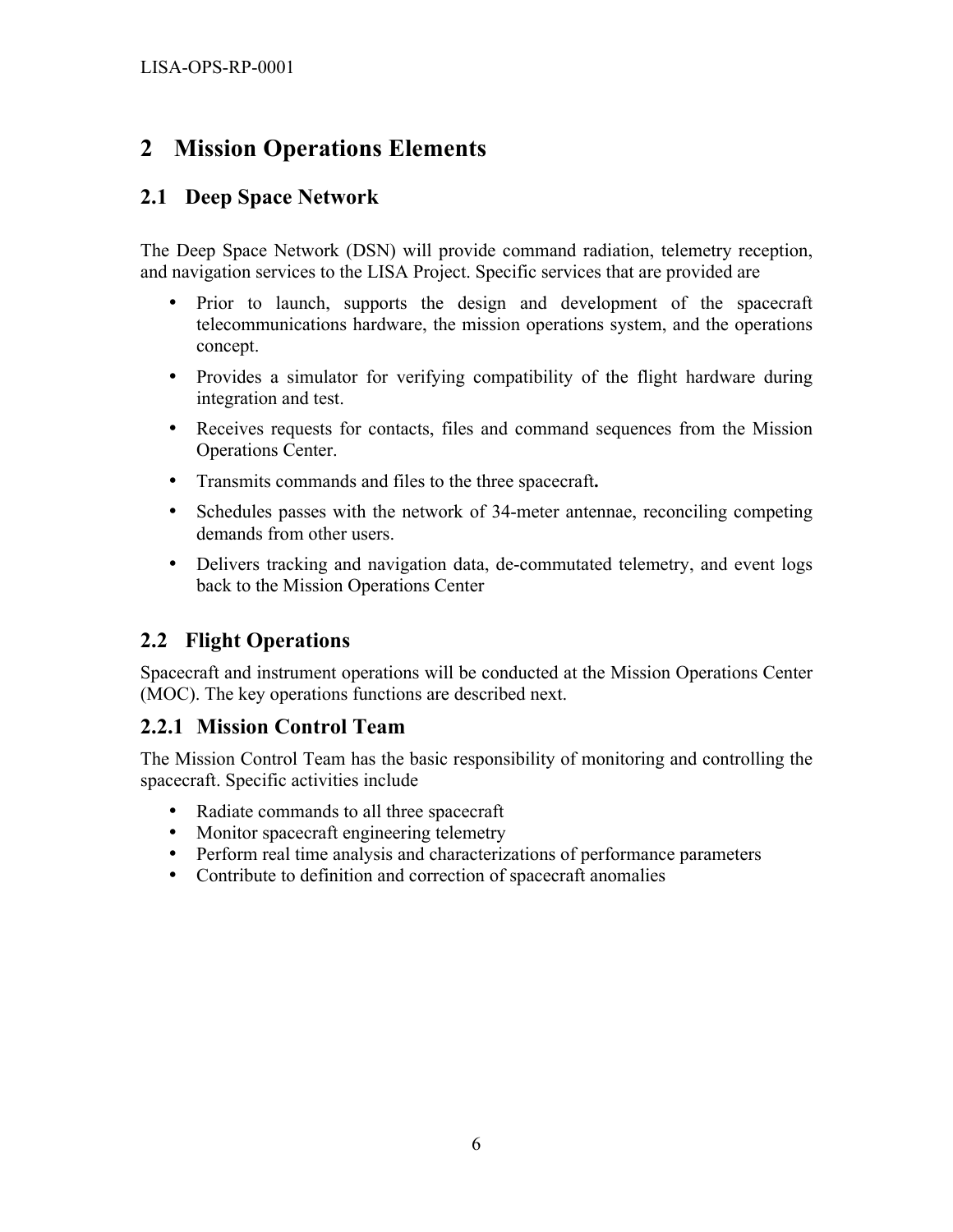## **2 Mission Operations Elements**

#### **2.1 Deep Space Network**

The Deep Space Network (DSN) will provide command radiation, telemetry reception, and navigation services to the LISA Project. Specific services that are provided are

- Prior to launch, supports the design and development of the spacecraft telecommunications hardware, the mission operations system, and the operations concept.
- Provides a simulator for verifying compatibility of the flight hardware during integration and test.
- Receives requests for contacts, files and command sequences from the Mission Operations Center.
- Transmits commands and files to the three spacecraft**.**
- Schedules passes with the network of 34-meter antennae, reconciling competing demands from other users.
- Delivers tracking and navigation data, de-commutated telemetry, and event logs back to the Mission Operations Center

#### **2.2 Flight Operations**

Spacecraft and instrument operations will be conducted at the Mission Operations Center (MOC). The key operations functions are described next.

#### **2.2.1 Mission Control Team**

The Mission Control Team has the basic responsibility of monitoring and controlling the spacecraft. Specific activities include

- Radiate commands to all three spacecraft
- Monitor spacecraft engineering telemetry
- Perform real time analysis and characterizations of performance parameters
- Contribute to definition and correction of spacecraft anomalies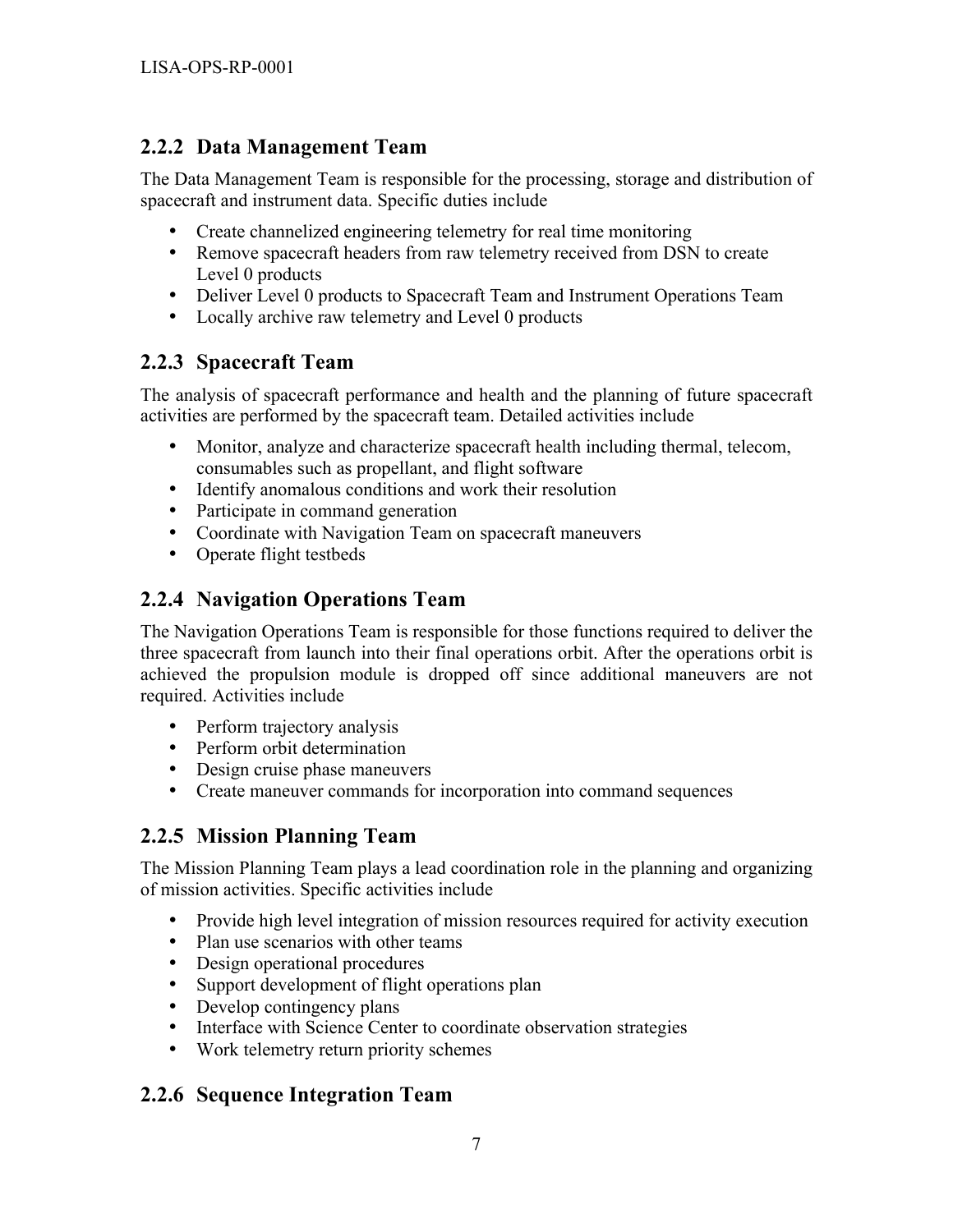#### **2.2.2 Data Management Team**

The Data Management Team is responsible for the processing, storage and distribution of spacecraft and instrument data. Specific duties include

- Create channelized engineering telemetry for real time monitoring
- Remove spacecraft headers from raw telemetry received from DSN to create Level 0 products
- Deliver Level 0 products to Spacecraft Team and Instrument Operations Team
- Locally archive raw telemetry and Level 0 products

#### **2.2.3 Spacecraft Team**

The analysis of spacecraft performance and health and the planning of future spacecraft activities are performed by the spacecraft team. Detailed activities include

- Monitor, analyze and characterize spacecraft health including thermal, telecom, consumables such as propellant, and flight software
- Identify anomalous conditions and work their resolution
- Participate in command generation
- Coordinate with Navigation Team on spacecraft maneuvers
- Operate flight testbeds

#### **2.2.4 Navigation Operations Team**

The Navigation Operations Team is responsible for those functions required to deliver the three spacecraft from launch into their final operations orbit. After the operations orbit is achieved the propulsion module is dropped off since additional maneuvers are not required. Activities include

- Perform trajectory analysis
- Perform orbit determination
- Design cruise phase maneuvers
- Create maneuver commands for incorporation into command sequences

#### **2.2.5 Mission Planning Team**

The Mission Planning Team plays a lead coordination role in the planning and organizing of mission activities. Specific activities include

- Provide high level integration of mission resources required for activity execution
- Plan use scenarios with other teams
- Design operational procedures
- Support development of flight operations plan
- Develop contingency plans
- Interface with Science Center to coordinate observation strategies
- Work telemetry return priority schemes

#### **2.2.6 Sequence Integration Team**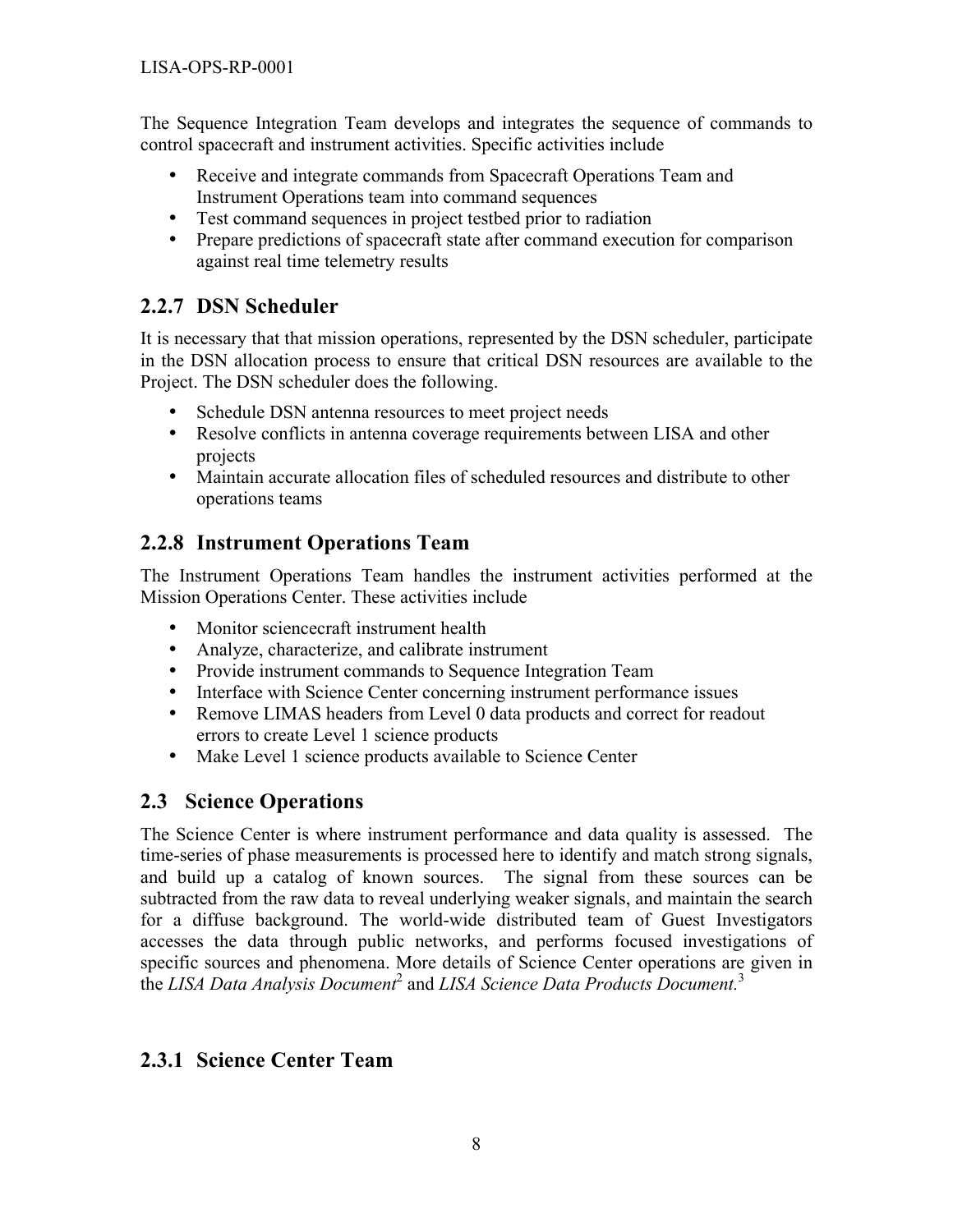The Sequence Integration Team develops and integrates the sequence of commands to control spacecraft and instrument activities. Specific activities include

- Receive and integrate commands from Spacecraft Operations Team and Instrument Operations team into command sequences
- Test command sequences in project testbed prior to radiation
- Prepare predictions of spacecraft state after command execution for comparison against real time telemetry results

#### **2.2.7 DSN Scheduler**

It is necessary that that mission operations, represented by the DSN scheduler, participate in the DSN allocation process to ensure that critical DSN resources are available to the Project. The DSN scheduler does the following.

- Schedule DSN antenna resources to meet project needs
- Resolve conflicts in antenna coverage requirements between LISA and other projects
- Maintain accurate allocation files of scheduled resources and distribute to other operations teams

#### **2.2.8 Instrument Operations Team**

The Instrument Operations Team handles the instrument activities performed at the Mission Operations Center. These activities include

- Monitor sciencecraft instrument health
- Analyze, characterize, and calibrate instrument
- Provide instrument commands to Sequence Integration Team
- Interface with Science Center concerning instrument performance issues
- Remove LIMAS headers from Level 0 data products and correct for readout errors to create Level 1 science products
- Make Level 1 science products available to Science Center

#### **2.3 Science Operations**

The Science Center is where instrument performance and data quality is assessed. The time-series of phase measurements is processed here to identify and match strong signals, and build up a catalog of known sources. The signal from these sources can be subtracted from the raw data to reveal underlying weaker signals, and maintain the search for a diffuse background. The world-wide distributed team of Guest Investigators accesses the data through public networks, and performs focused investigations of specific sources and phenomena. More details of Science Center operations are given in the LISA Data Analysis Document<sup>2</sup> and LISA Science Data Products Document.<sup>3</sup>

#### **2.3.1 Science Center Team**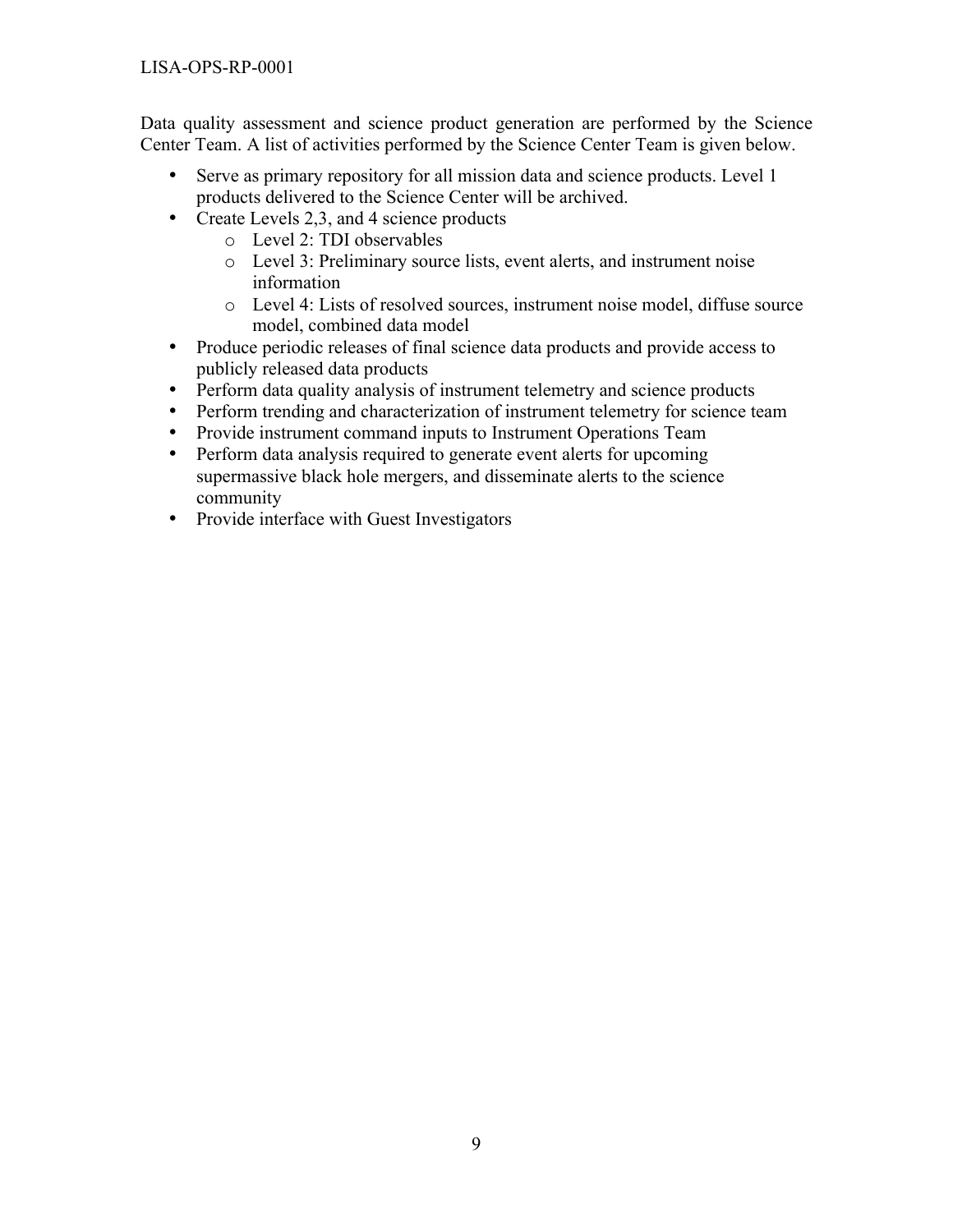Data quality assessment and science product generation are performed by the Science Center Team. A list of activities performed by the Science Center Team is given below.

- Serve as primary repository for all mission data and science products. Level 1 products delivered to the Science Center will be archived.
- Create Levels 2,3, and 4 science products
	- o Level 2: TDI observables
	- o Level 3: Preliminary source lists, event alerts, and instrument noise information
	- o Level 4: Lists of resolved sources, instrument noise model, diffuse source model, combined data model
- Produce periodic releases of final science data products and provide access to publicly released data products
- Perform data quality analysis of instrument telemetry and science products
- Perform trending and characterization of instrument telemetry for science team
- Provide instrument command inputs to Instrument Operations Team
- Perform data analysis required to generate event alerts for upcoming supermassive black hole mergers, and disseminate alerts to the science community
- Provide interface with Guest Investigators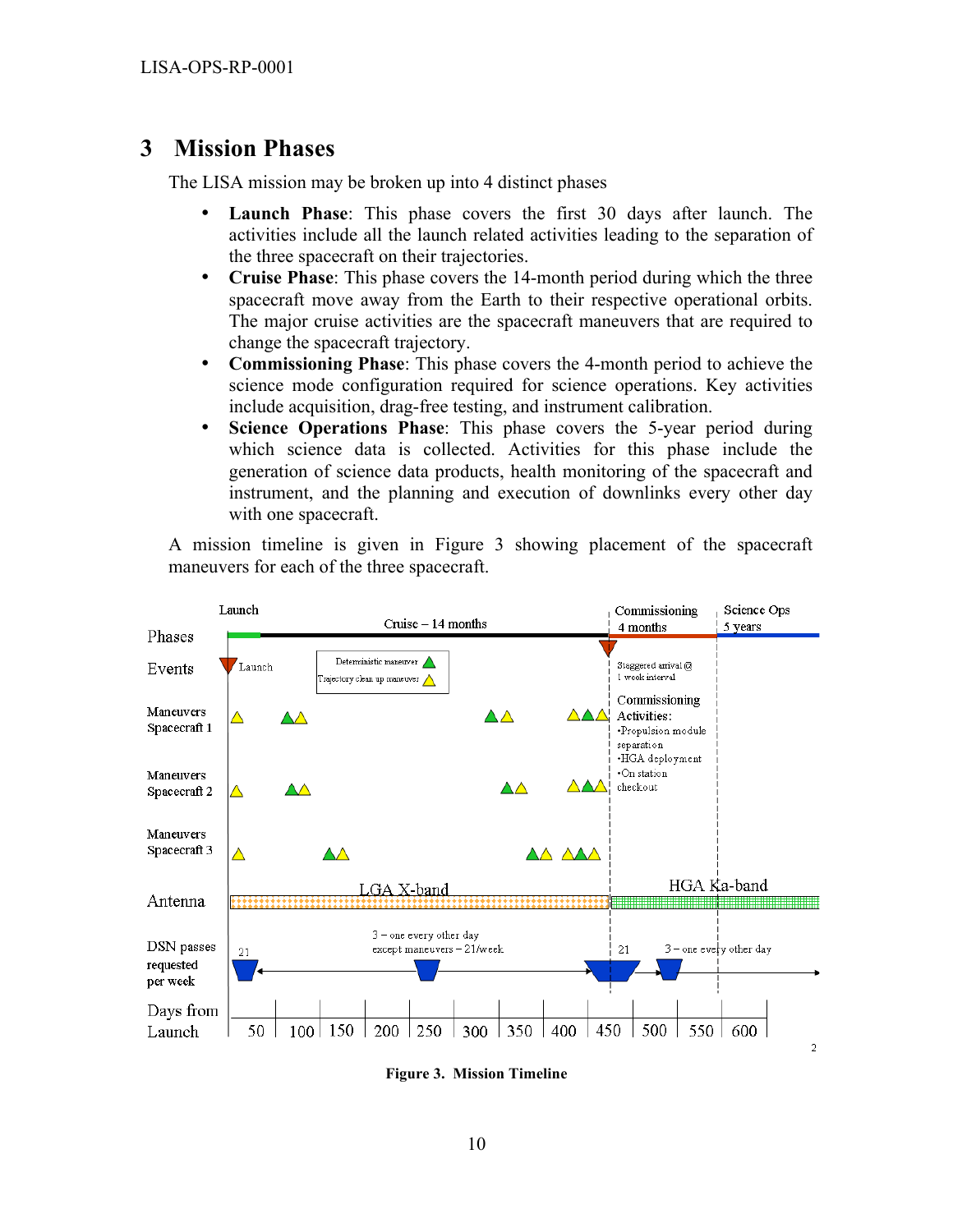#### **3 Mission Phases**

The LISA mission may be broken up into 4 distinct phases

- **Launch Phase**: This phase covers the first 30 days after launch. The activities include all the launch related activities leading to the separation of the three spacecraft on their trajectories.
- **Cruise Phase**: This phase covers the 14-month period during which the three spacecraft move away from the Earth to their respective operational orbits. The major cruise activities are the spacecraft maneuvers that are required to change the spacecraft trajectory.
- **Commissioning Phase**: This phase covers the 4-month period to achieve the science mode configuration required for science operations. Key activities include acquisition, drag-free testing, and instrument calibration.
- **Science Operations Phase**: This phase covers the 5-year period during which science data is collected. Activities for this phase include the generation of science data products, health monitoring of the spacecraft and instrument, and the planning and execution of downlinks every other day with one spacecraft.

A mission timeline is given in Figure 3 showing placement of the spacecraft maneuvers for each of the three spacecraft.



**Figure 3. Mission Timeline**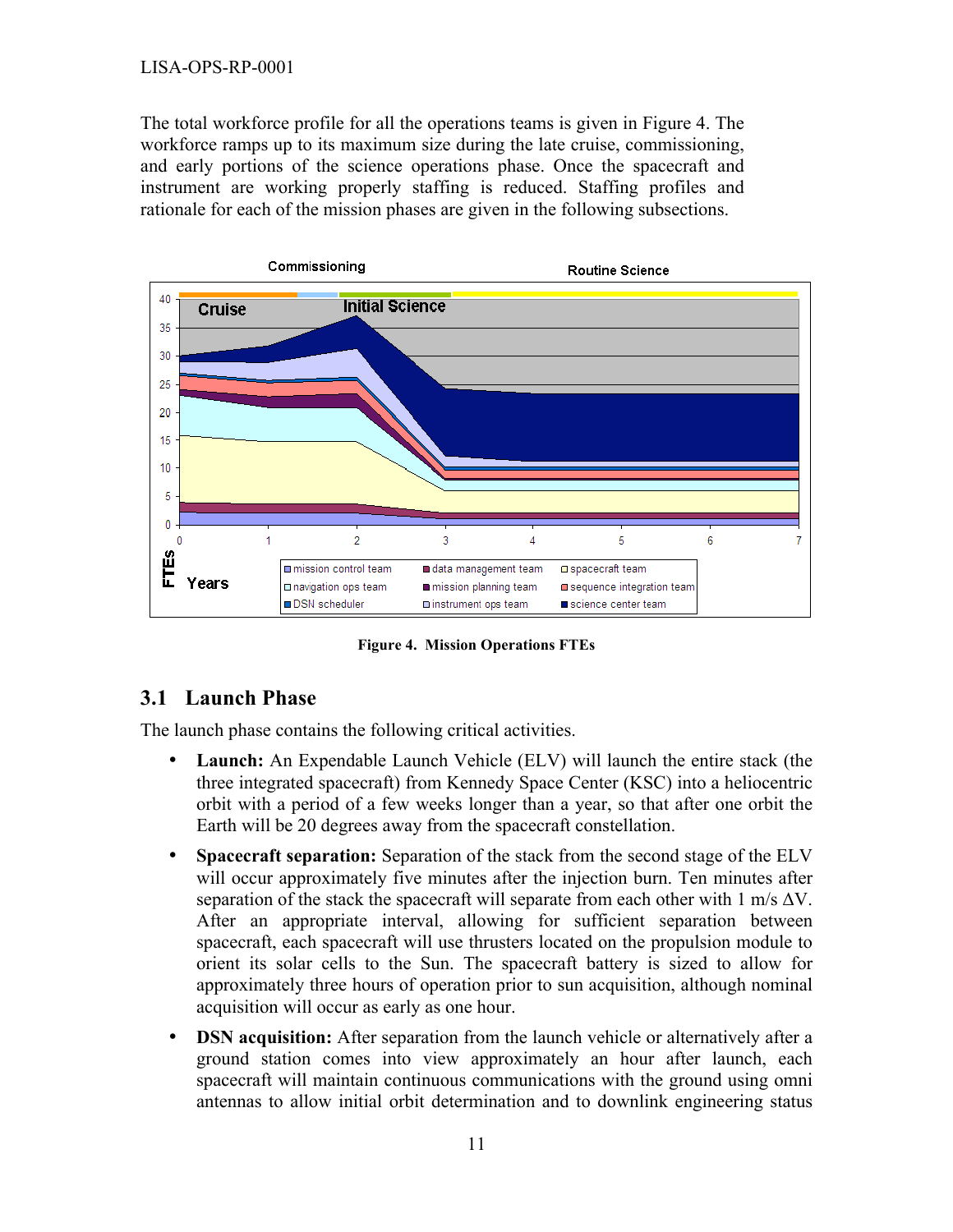#### LISA-OPS-RP-0001

The total workforce profile for all the operations teams is given in Figure 4. The workforce ramps up to its maximum size during the late cruise, commissioning, and early portions of the science operations phase. Once the spacecraft and instrument are working properly staffing is reduced. Staffing profiles and rationale for each of the mission phases are given in the following subsections.



**Figure 4. Mission Operations FTEs**

#### **3.1 Launch Phase**

The launch phase contains the following critical activities.

- **Launch:** An Expendable Launch Vehicle (ELV) will launch the entire stack (the three integrated spacecraft) from Kennedy Space Center (KSC) into a heliocentric orbit with a period of a few weeks longer than a year, so that after one orbit the Earth will be 20 degrees away from the spacecraft constellation.
- **Spacecraft separation:** Separation of the stack from the second stage of the ELV will occur approximately five minutes after the injection burn. Ten minutes after separation of the stack the spacecraft will separate from each other with  $1 \text{ m/s } \Delta V$ . After an appropriate interval, allowing for sufficient separation between spacecraft, each spacecraft will use thrusters located on the propulsion module to orient its solar cells to the Sun. The spacecraft battery is sized to allow for approximately three hours of operation prior to sun acquisition, although nominal acquisition will occur as early as one hour.
- **DSN acquisition:** After separation from the launch vehicle or alternatively after a ground station comes into view approximately an hour after launch, each spacecraft will maintain continuous communications with the ground using omni antennas to allow initial orbit determination and to downlink engineering status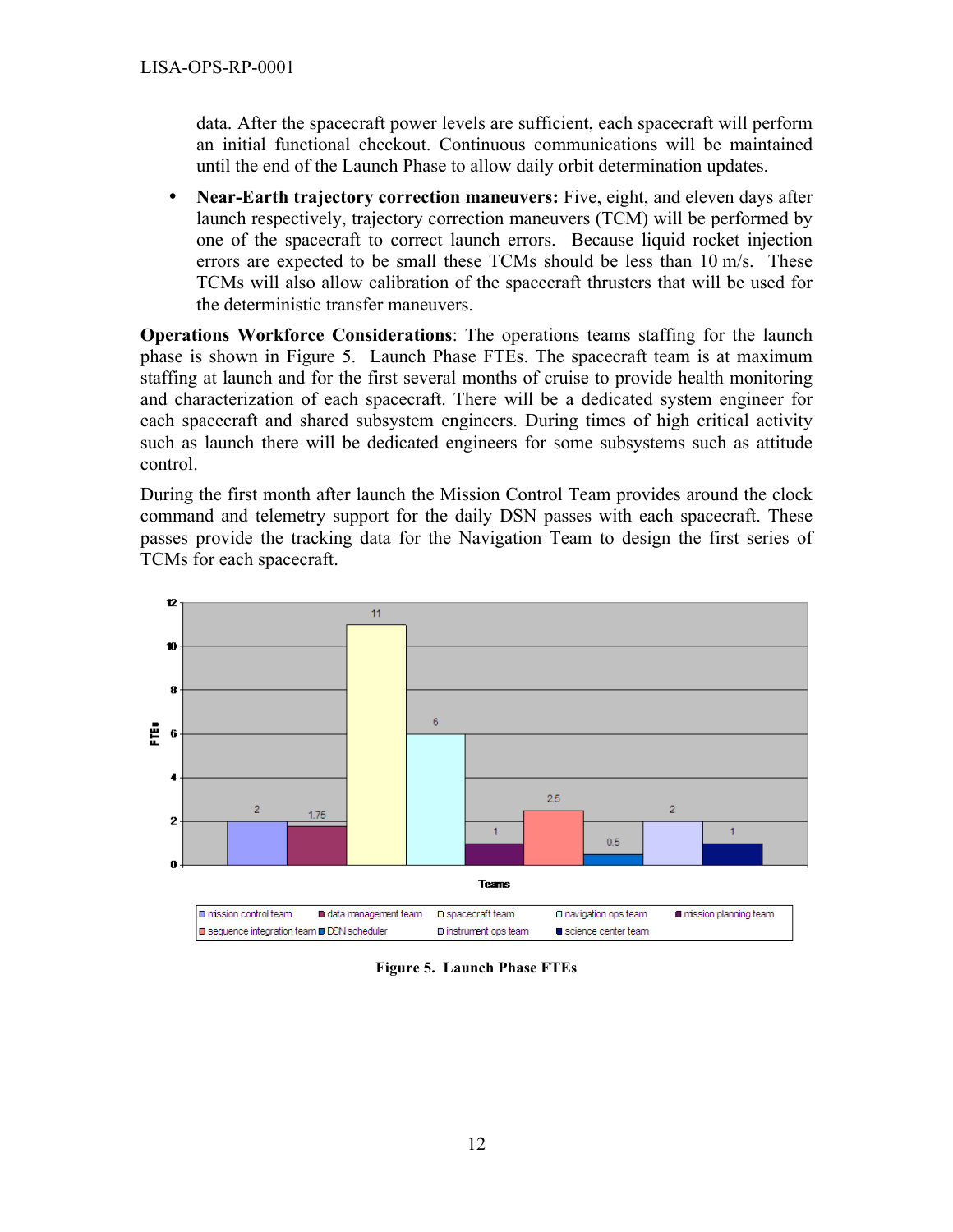data. After the spacecraft power levels are sufficient, each spacecraft will perform an initial functional checkout. Continuous communications will be maintained until the end of the Launch Phase to allow daily orbit determination updates.

• **Near-Earth trajectory correction maneuvers:** Five, eight, and eleven days after launch respectively, trajectory correction maneuvers (TCM) will be performed by one of the spacecraft to correct launch errors. Because liquid rocket injection errors are expected to be small these TCMs should be less than 10 m/s. These TCMs will also allow calibration of the spacecraft thrusters that will be used for the deterministic transfer maneuvers.

**Operations Workforce Considerations**: The operations teams staffing for the launch phase is shown in Figure 5. Launch Phase FTEs. The spacecraft team is at maximum staffing at launch and for the first several months of cruise to provide health monitoring and characterization of each spacecraft. There will be a dedicated system engineer for each spacecraft and shared subsystem engineers. During times of high critical activity such as launch there will be dedicated engineers for some subsystems such as attitude control.

During the first month after launch the Mission Control Team provides around the clock command and telemetry support for the daily DSN passes with each spacecraft. These passes provide the tracking data for the Navigation Team to design the first series of TCMs for each spacecraft.



**Figure 5. Launch Phase FTEs**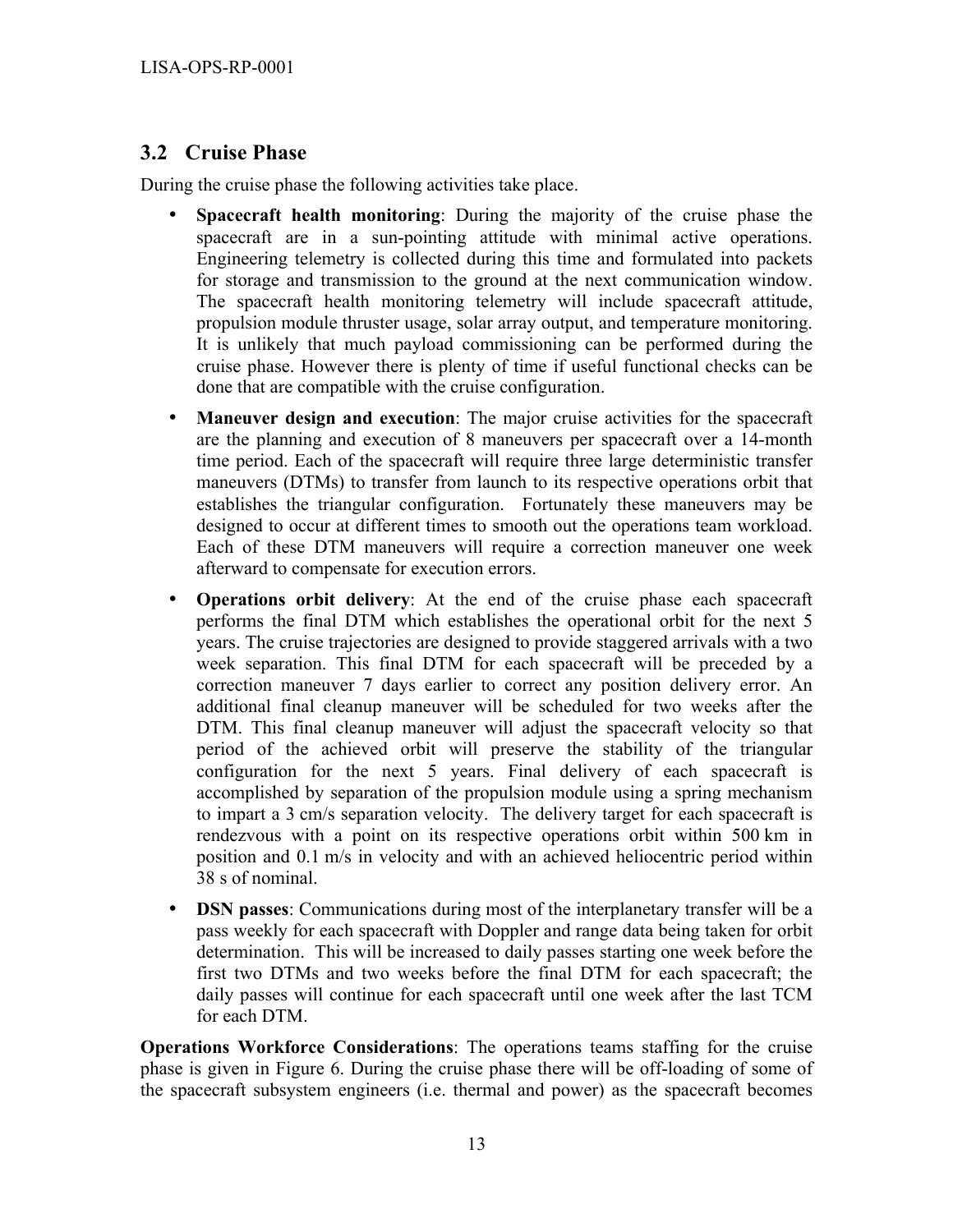#### **3.2 Cruise Phase**

During the cruise phase the following activities take place.

- **Spacecraft health monitoring**: During the majority of the cruise phase the spacecraft are in a sun-pointing attitude with minimal active operations. Engineering telemetry is collected during this time and formulated into packets for storage and transmission to the ground at the next communication window. The spacecraft health monitoring telemetry will include spacecraft attitude, propulsion module thruster usage, solar array output, and temperature monitoring. It is unlikely that much payload commissioning can be performed during the cruise phase. However there is plenty of time if useful functional checks can be done that are compatible with the cruise configuration.
- **Maneuver design and execution**: The major cruise activities for the spacecraft are the planning and execution of 8 maneuvers per spacecraft over a 14-month time period. Each of the spacecraft will require three large deterministic transfer maneuvers (DTMs) to transfer from launch to its respective operations orbit that establishes the triangular configuration. Fortunately these maneuvers may be designed to occur at different times to smooth out the operations team workload. Each of these DTM maneuvers will require a correction maneuver one week afterward to compensate for execution errors.
- **Operations orbit delivery**: At the end of the cruise phase each spacecraft performs the final DTM which establishes the operational orbit for the next 5 years. The cruise trajectories are designed to provide staggered arrivals with a two week separation. This final DTM for each spacecraft will be preceded by a correction maneuver 7 days earlier to correct any position delivery error. An additional final cleanup maneuver will be scheduled for two weeks after the DTM. This final cleanup maneuver will adjust the spacecraft velocity so that period of the achieved orbit will preserve the stability of the triangular configuration for the next 5 years. Final delivery of each spacecraft is accomplished by separation of the propulsion module using a spring mechanism to impart a 3 cm/s separation velocity. The delivery target for each spacecraft is rendezvous with a point on its respective operations orbit within 500 km in position and 0.1 m/s in velocity and with an achieved heliocentric period within 38 s of nominal.
- **DSN passes**: Communications during most of the interplanetary transfer will be a pass weekly for each spacecraft with Doppler and range data being taken for orbit determination. This will be increased to daily passes starting one week before the first two DTMs and two weeks before the final DTM for each spacecraft; the daily passes will continue for each spacecraft until one week after the last TCM for each DTM.

**Operations Workforce Considerations**: The operations teams staffing for the cruise phase is given in Figure 6. During the cruise phase there will be off-loading of some of the spacecraft subsystem engineers (i.e. thermal and power) as the spacecraft becomes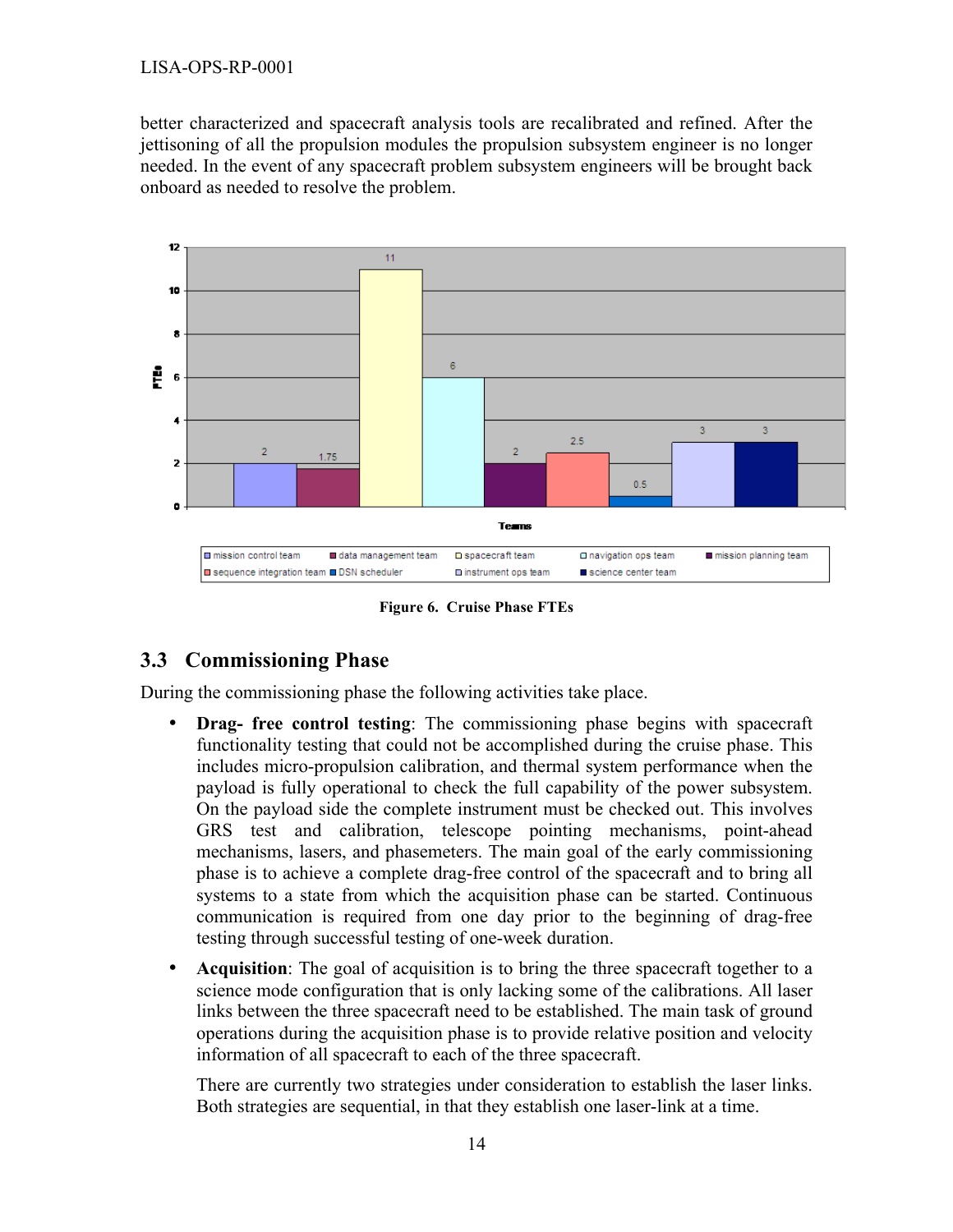better characterized and spacecraft analysis tools are recalibrated and refined. After the jettisoning of all the propulsion modules the propulsion subsystem engineer is no longer needed. In the event of any spacecraft problem subsystem engineers will be brought back onboard as needed to resolve the problem.



**Figure 6. Cruise Phase FTEs**

#### **3.3 Commissioning Phase**

During the commissioning phase the following activities take place.

- **Drag- free control testing**: The commissioning phase begins with spacecraft functionality testing that could not be accomplished during the cruise phase. This includes micro-propulsion calibration, and thermal system performance when the payload is fully operational to check the full capability of the power subsystem. On the payload side the complete instrument must be checked out. This involves GRS test and calibration, telescope pointing mechanisms, point-ahead mechanisms, lasers, and phasemeters. The main goal of the early commissioning phase is to achieve a complete drag-free control of the spacecraft and to bring all systems to a state from which the acquisition phase can be started. Continuous communication is required from one day prior to the beginning of drag-free testing through successful testing of one-week duration.
- **Acquisition**: The goal of acquisition is to bring the three spacecraft together to a science mode configuration that is only lacking some of the calibrations. All laser links between the three spacecraft need to be established. The main task of ground operations during the acquisition phase is to provide relative position and velocity information of all spacecraft to each of the three spacecraft.

There are currently two strategies under consideration to establish the laser links. Both strategies are sequential, in that they establish one laser-link at a time.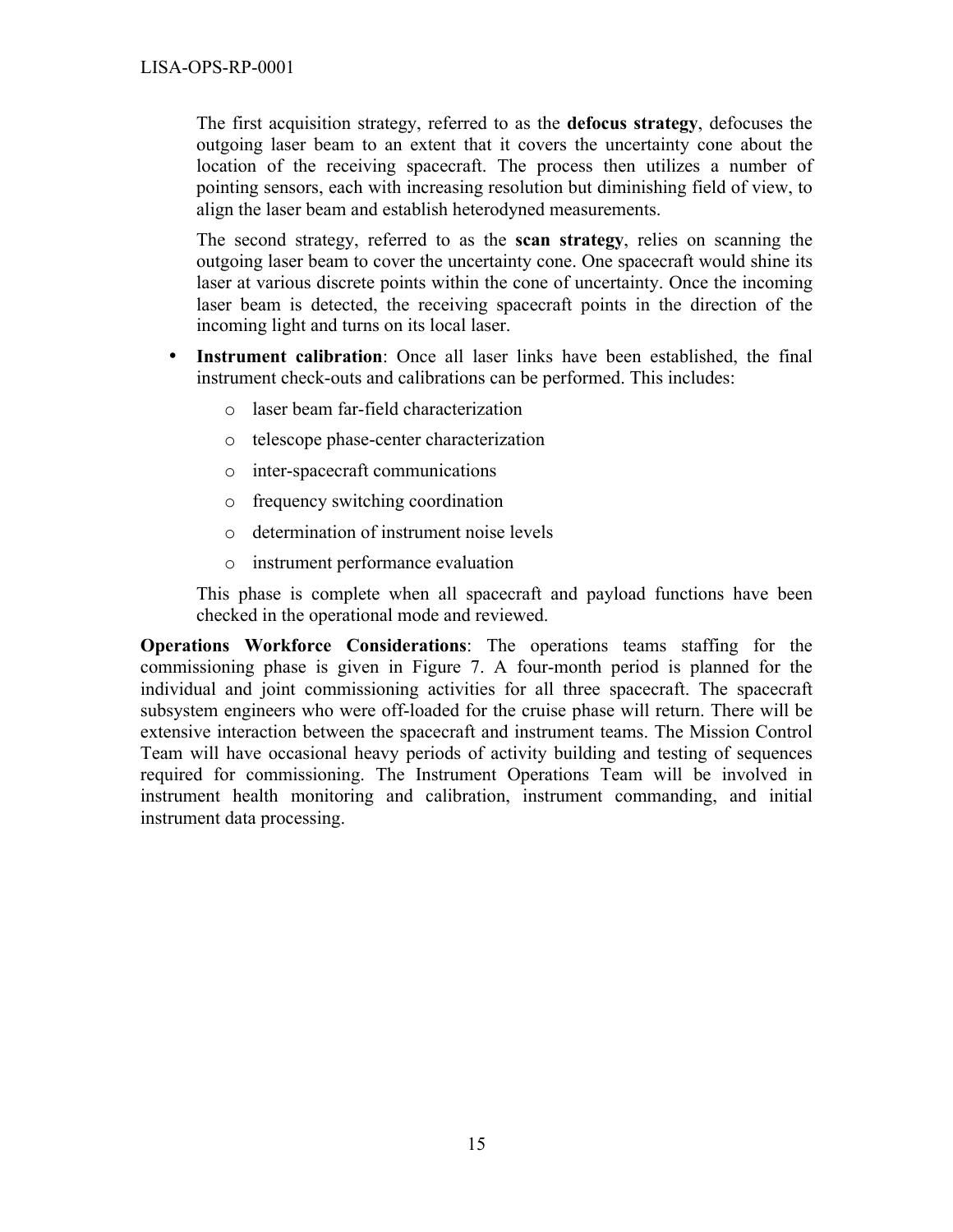The first acquisition strategy, referred to as the **defocus strategy**, defocuses the outgoing laser beam to an extent that it covers the uncertainty cone about the location of the receiving spacecraft. The process then utilizes a number of pointing sensors, each with increasing resolution but diminishing field of view, to align the laser beam and establish heterodyned measurements.

The second strategy, referred to as the **scan strategy**, relies on scanning the outgoing laser beam to cover the uncertainty cone. One spacecraft would shine its laser at various discrete points within the cone of uncertainty. Once the incoming laser beam is detected, the receiving spacecraft points in the direction of the incoming light and turns on its local laser.

- **Instrument calibration**: Once all laser links have been established, the final instrument check-outs and calibrations can be performed. This includes:
	- o laser beam far-field characterization
	- o telescope phase-center characterization
	- o inter-spacecraft communications
	- o frequency switching coordination
	- o determination of instrument noise levels
	- o instrument performance evaluation

This phase is complete when all spacecraft and payload functions have been checked in the operational mode and reviewed.

**Operations Workforce Considerations**: The operations teams staffing for the commissioning phase is given in Figure 7. A four-month period is planned for the individual and joint commissioning activities for all three spacecraft. The spacecraft subsystem engineers who were off-loaded for the cruise phase will return. There will be extensive interaction between the spacecraft and instrument teams. The Mission Control Team will have occasional heavy periods of activity building and testing of sequences required for commissioning. The Instrument Operations Team will be involved in instrument health monitoring and calibration, instrument commanding, and initial instrument data processing.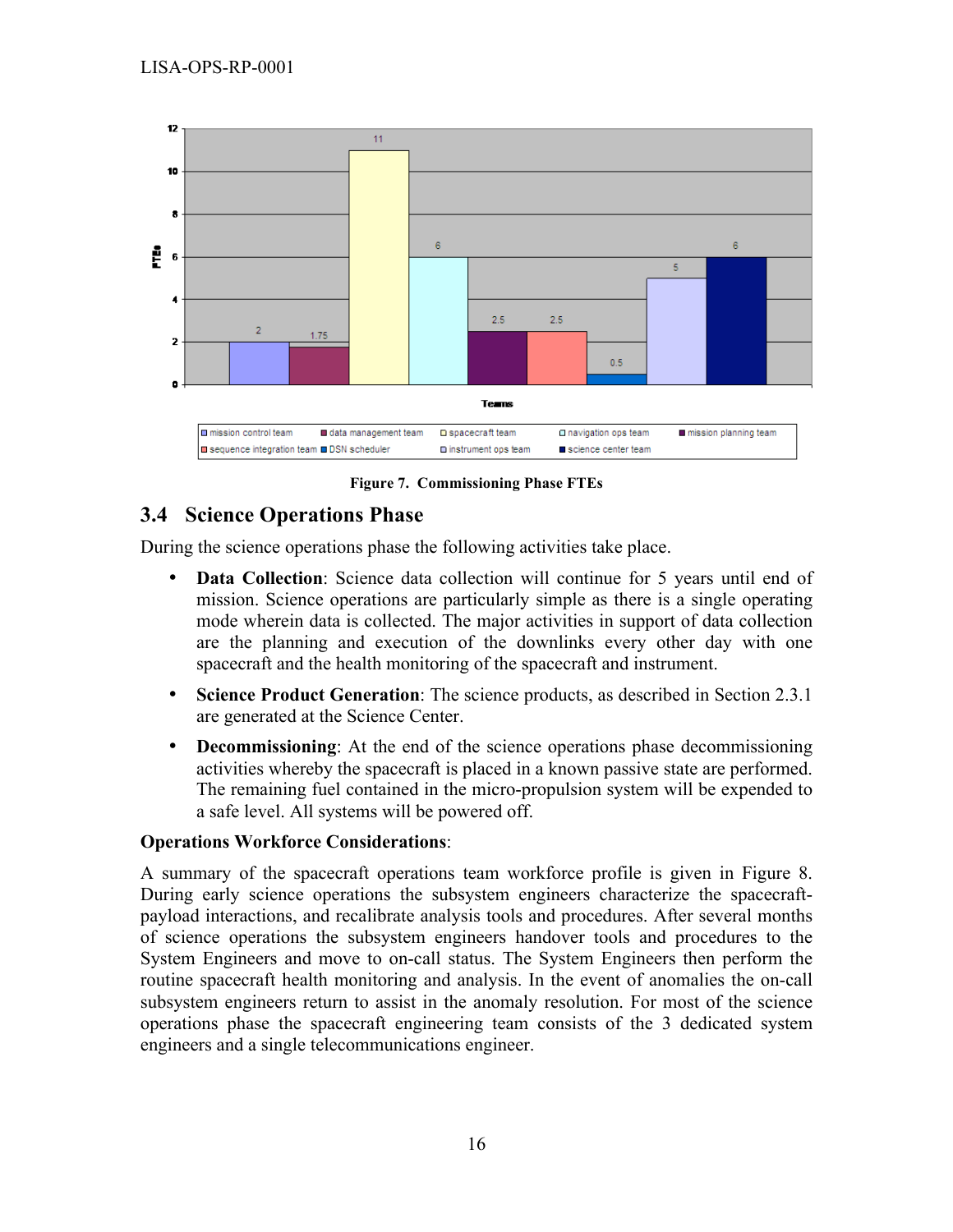

**Figure 7. Commissioning Phase FTEs**

#### **3.4 Science Operations Phase**

During the science operations phase the following activities take place.

- **Data Collection**: Science data collection will continue for 5 years until end of mission. Science operations are particularly simple as there is a single operating mode wherein data is collected. The major activities in support of data collection are the planning and execution of the downlinks every other day with one spacecraft and the health monitoring of the spacecraft and instrument.
- **Science Product Generation**: The science products, as described in Section 2.3.1 are generated at the Science Center.
- **Decommissioning**: At the end of the science operations phase decommissioning activities whereby the spacecraft is placed in a known passive state are performed. The remaining fuel contained in the micro-propulsion system will be expended to a safe level. All systems will be powered off.

#### **Operations Workforce Considerations**:

A summary of the spacecraft operations team workforce profile is given in Figure 8. During early science operations the subsystem engineers characterize the spacecraftpayload interactions, and recalibrate analysis tools and procedures. After several months of science operations the subsystem engineers handover tools and procedures to the System Engineers and move to on-call status. The System Engineers then perform the routine spacecraft health monitoring and analysis. In the event of anomalies the on-call subsystem engineers return to assist in the anomaly resolution. For most of the science operations phase the spacecraft engineering team consists of the 3 dedicated system engineers and a single telecommunications engineer.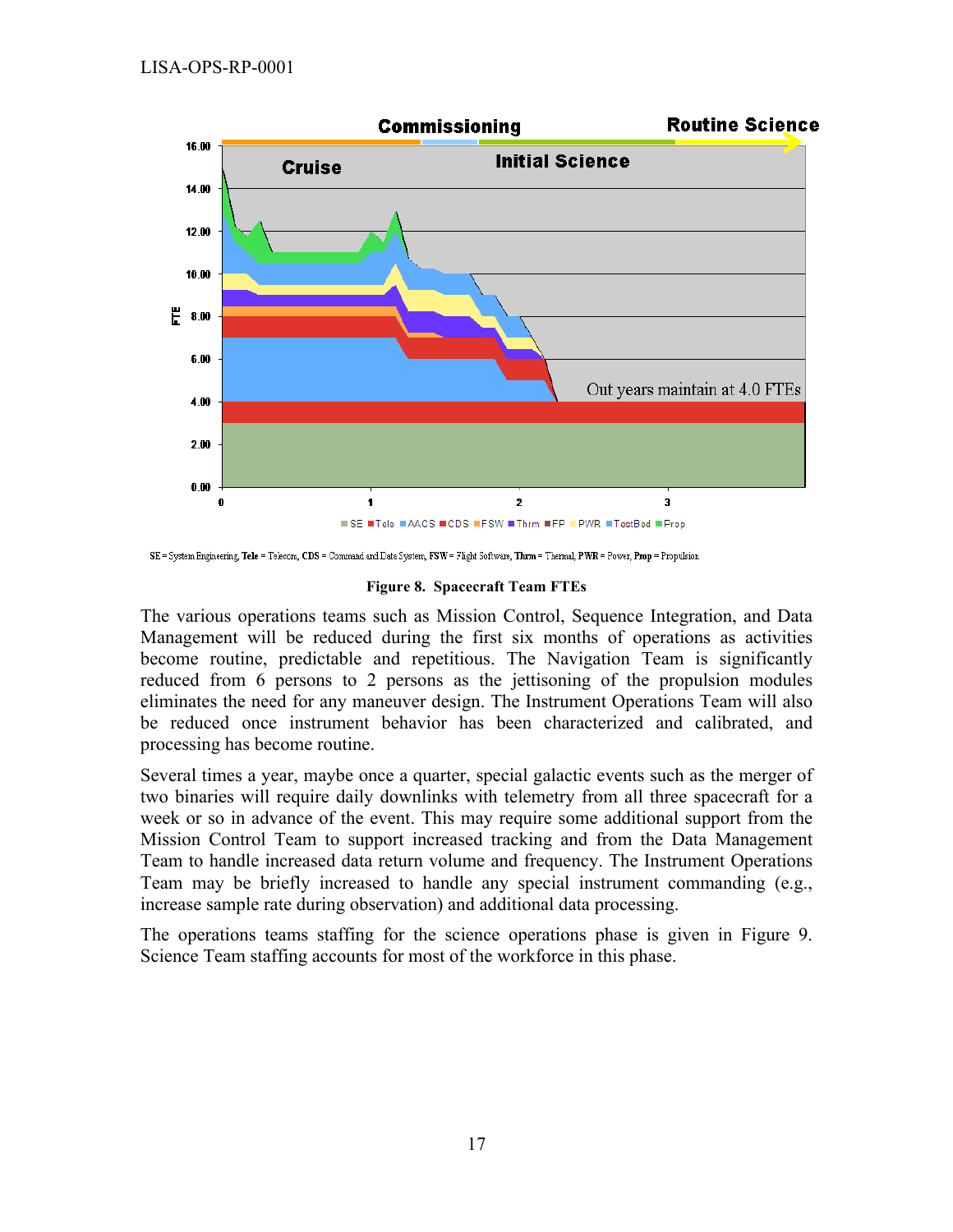

SE = System Engineering, Tele = Telecom, CDS = Command and Data System, FSW = Flight Software, Thrm = Thermal, PWR = Power, Prop = Propulsion

#### **Figure 8. Spacecraft Team FTEs**

The various operations teams such as Mission Control, Sequence Integration, and Data Management will be reduced during the first six months of operations as activities become routine, predictable and repetitious. The Navigation Team is significantly reduced from 6 persons to 2 persons as the jettisoning of the propulsion modules eliminates the need for any maneuver design. The Instrument Operations Team will also be reduced once instrument behavior has been characterized and calibrated, and processing has become routine.

Several times a year, maybe once a quarter, special galactic events such as the merger of two binaries will require daily downlinks with telemetry from all three spacecraft for a week or so in advance of the event. This may require some additional support from the Mission Control Team to support increased tracking and from the Data Management Team to handle increased data return volume and frequency. The Instrument Operations Team may be briefly increased to handle any special instrument commanding (e.g., increase sample rate during observation) and additional data processing.

The operations teams staffing for the science operations phase is given in Figure 9. Science Team staffing accounts for most of the workforce in this phase.